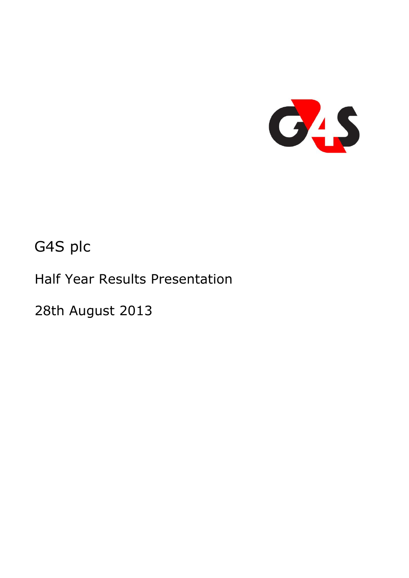

# G4S plc

Half Year Results Presentation

28th August 2013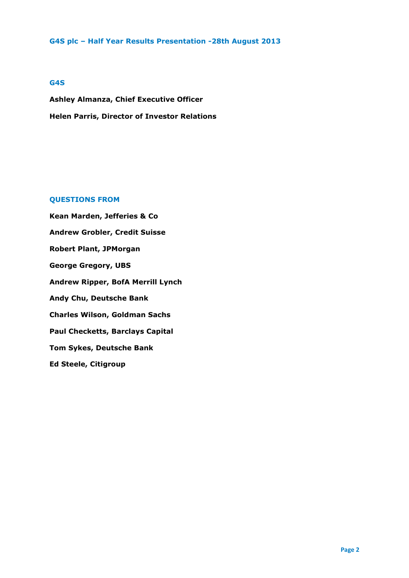#### **G4S**

**Ashley Almanza, Chief Executive Officer Helen Parris, Director of Investor Relations** 

# **QUESTIONS FROM**

**Kean Marden, Jefferies & Co Andrew Grobler, Credit Suisse Robert Plant, JPMorgan George Gregory, UBS Andrew Ripper, BofA Merrill Lynch Andy Chu, Deutsche Bank Charles Wilson, Goldman Sachs Paul Checketts, Barclays Capital Tom Sykes, Deutsche Bank Ed Steele, Citigroup**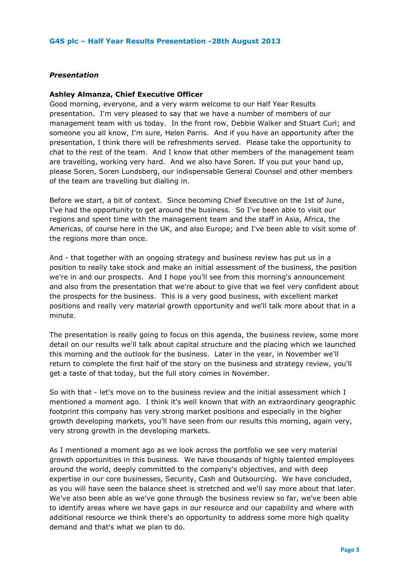## *Presentation*

#### **Ashley Almanza, Chief Executive Officer**

Good morning, everyone, and a very warm welcome to our Half Year Results presentation. I'm very pleased to say that we have a number of members of our management team with us today. In the front row, Debbie Walker and Stuart Curl; and someone you all know, I'm sure, Helen Parris. And if you have an opportunity after the presentation, I think there will be refreshments served. Please take the opportunity to chat to the rest of the team. And I know that other members of the management team are travelling, working very hard. And we also have Soren. If you put your hand up, please Soren, Soren Lundsberg, our indispensable General Counsel and other members of the team are travelling but dialling in.

Before we start, a bit of context. Since becoming Chief Executive on the 1st of June, I've had the opportunity to get around the business. So I've been able to visit our regions and spent time with the management team and the staff in Asia, Africa, the Americas, of course here in the UK, and also Europe; and I've been able to visit some of the regions more than once.

And - that together with an ongoing strategy and business review has put us in a position to really take stock and make an initial assessment of the business, the position we're in and our prospects. And I hope you'll see from this morning's announcement and also from the presentation that we're about to give that we feel very confident about the prospects for the business. This is a very good business, with excellent market positions and really very material growth opportunity and we'll talk more about that in a minute.

The presentation is really going to focus on this agenda, the business review, some more detail on our results we'll talk about capital structure and the placing which we launched this morning and the outlook for the business. Later in the year, in November we'll return to complete the first half of the story on the business and strategy review, you'll get a taste of that today, but the full story comes in November.

So with that - let's move on to the business review and the initial assessment which I mentioned a moment ago. I think it's well known that with an extraordinary geographic footprint this company has very strong market positions and especially in the higher growth developing markets, you'll have seen from our results this morning, again very, very strong growth in the developing markets.

As I mentioned a moment ago as we look across the portfolio we see very material growth opportunities in this business. We have thousands of highly talented employees around the world, deeply committed to the company's objectives, and with deep expertise in our core businesses, Security, Cash and Outsourcing. We have concluded, as you will have seen the balance sheet is stretched and we'll say more about that later. We've also been able as we've gone through the business review so far, we've been able to identify areas where we have gaps in our resource and our capability and where with additional resource we think there's an opportunity to address some more high quality demand and that's what we plan to do.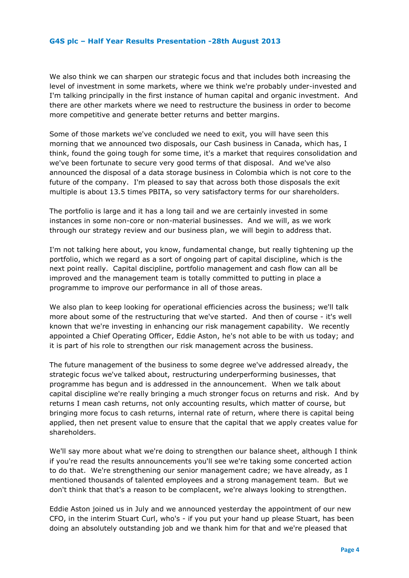We also think we can sharpen our strategic focus and that includes both increasing the level of investment in some markets, where we think we're probably under-invested and I'm talking principally in the first instance of human capital and organic investment. And there are other markets where we need to restructure the business in order to become more competitive and generate better returns and better margins.

Some of those markets we've concluded we need to exit, you will have seen this morning that we announced two disposals, our Cash business in Canada, which has, I think, found the going tough for some time, it's a market that requires consolidation and we've been fortunate to secure very good terms of that disposal. And we've also announced the disposal of a data storage business in Colombia which is not core to the future of the company. I'm pleased to say that across both those disposals the exit multiple is about 13.5 times PBITA, so very satisfactory terms for our shareholders.

The portfolio is large and it has a long tail and we are certainly invested in some instances in some non-core or non-material businesses. And we will, as we work through our strategy review and our business plan, we will begin to address that.

I'm not talking here about, you know, fundamental change, but really tightening up the portfolio, which we regard as a sort of ongoing part of capital discipline, which is the next point really. Capital discipline, portfolio management and cash flow can all be improved and the management team is totally committed to putting in place a programme to improve our performance in all of those areas.

We also plan to keep looking for operational efficiencies across the business; we'll talk more about some of the restructuring that we've started. And then of course - it's well known that we're investing in enhancing our risk management capability. We recently appointed a Chief Operating Officer, Eddie Aston, he's not able to be with us today; and it is part of his role to strengthen our risk management across the business.

The future management of the business to some degree we've addressed already, the strategic focus we've talked about, restructuring underperforming businesses, that programme has begun and is addressed in the announcement. When we talk about capital discipline we're really bringing a much stronger focus on returns and risk. And by returns I mean cash returns, not only accounting results, which matter of course, but bringing more focus to cash returns, internal rate of return, where there is capital being applied, then net present value to ensure that the capital that we apply creates value for shareholders.

We'll say more about what we're doing to strengthen our balance sheet, although I think if you're read the results announcements you'll see we're taking some concerted action to do that. We're strengthening our senior management cadre; we have already, as I mentioned thousands of talented employees and a strong management team. But we don't think that that's a reason to be complacent, we're always looking to strengthen.

Eddie Aston joined us in July and we announced yesterday the appointment of our new CFO, in the interim Stuart Curl, who's - if you put your hand up please Stuart, has been doing an absolutely outstanding job and we thank him for that and we're pleased that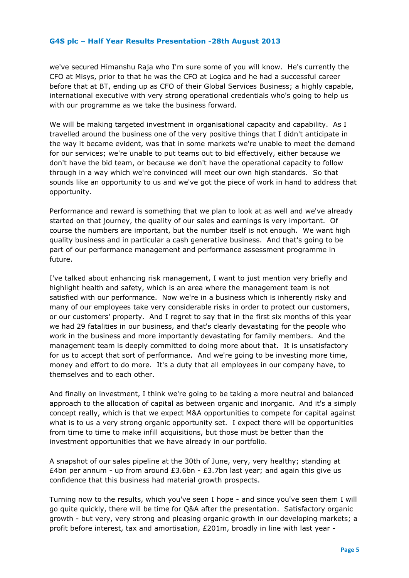we've secured Himanshu Raja who I'm sure some of you will know. He's currently the CFO at Misys, prior to that he was the CFO at Logica and he had a successful career before that at BT, ending up as CFO of their Global Services Business; a highly capable, international executive with very strong operational credentials who's going to help us with our programme as we take the business forward.

We will be making targeted investment in organisational capacity and capability. As I travelled around the business one of the very positive things that I didn't anticipate in the way it became evident, was that in some markets we're unable to meet the demand for our services; we're unable to put teams out to bid effectively, either because we don't have the bid team, or because we don't have the operational capacity to follow through in a way which we're convinced will meet our own high standards. So that sounds like an opportunity to us and we've got the piece of work in hand to address that opportunity.

Performance and reward is something that we plan to look at as well and we've already started on that journey, the quality of our sales and earnings is very important. Of course the numbers are important, but the number itself is not enough. We want high quality business and in particular a cash generative business. And that's going to be part of our performance management and performance assessment programme in future.

I've talked about enhancing risk management, I want to just mention very briefly and highlight health and safety, which is an area where the management team is not satisfied with our performance. Now we're in a business which is inherently risky and many of our employees take very considerable risks in order to protect our customers, or our customers' property. And I regret to say that in the first six months of this year we had 29 fatalities in our business, and that's clearly devastating for the people who work in the business and more importantly devastating for family members. And the management team is deeply committed to doing more about that. It is unsatisfactory for us to accept that sort of performance. And we're going to be investing more time, money and effort to do more. It's a duty that all employees in our company have, to themselves and to each other.

And finally on investment, I think we're going to be taking a more neutral and balanced approach to the allocation of capital as between organic and inorganic. And it's a simply concept really, which is that we expect M&A opportunities to compete for capital against what is to us a very strong organic opportunity set. I expect there will be opportunities from time to time to make infill acquisitions, but those must be better than the investment opportunities that we have already in our portfolio.

A snapshot of our sales pipeline at the 30th of June, very, very healthy; standing at £4bn per annum - up from around £3.6bn - £3.7bn last year; and again this give us confidence that this business had material growth prospects.

Turning now to the results, which you've seen I hope - and since you've seen them I will go quite quickly, there will be time for Q&A after the presentation. Satisfactory organic growth - but very, very strong and pleasing organic growth in our developing markets; a profit before interest, tax and amortisation, £201m, broadly in line with last year -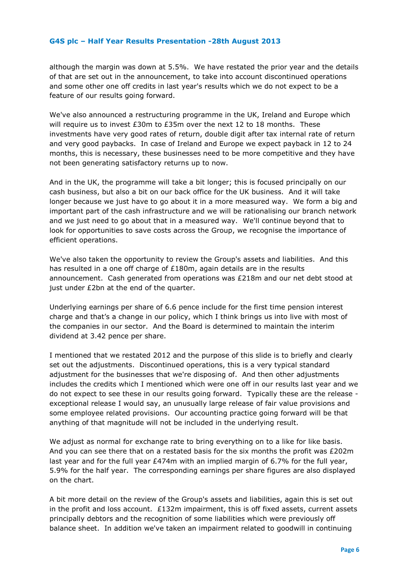although the margin was down at 5.5%. We have restated the prior year and the details of that are set out in the announcement, to take into account discontinued operations and some other one off credits in last year's results which we do not expect to be a feature of our results going forward.

We've also announced a restructuring programme in the UK, Ireland and Europe which will require us to invest £30m to £35m over the next 12 to 18 months. These investments have very good rates of return, double digit after tax internal rate of return and very good paybacks. In case of Ireland and Europe we expect payback in 12 to 24 months, this is necessary, these businesses need to be more competitive and they have not been generating satisfactory returns up to now.

And in the UK, the programme will take a bit longer; this is focused principally on our cash business, but also a bit on our back office for the UK business. And it will take longer because we just have to go about it in a more measured way. We form a big and important part of the cash infrastructure and we will be rationalising our branch network and we just need to go about that in a measured way. We'll continue beyond that to look for opportunities to save costs across the Group, we recognise the importance of efficient operations.

We've also taken the opportunity to review the Group's assets and liabilities. And this has resulted in a one off charge of £180m, again details are in the results announcement. Cash generated from operations was £218m and our net debt stood at just under £2bn at the end of the quarter.

Underlying earnings per share of 6.6 pence include for the first time pension interest charge and that's a change in our policy, which I think brings us into live with most of the companies in our sector. And the Board is determined to maintain the interim dividend at 3.42 pence per share.

I mentioned that we restated 2012 and the purpose of this slide is to briefly and clearly set out the adjustments. Discontinued operations, this is a very typical standard adjustment for the businesses that we're disposing of. And then other adjustments includes the credits which I mentioned which were one off in our results last year and we do not expect to see these in our results going forward. Typically these are the release exceptional release I would say, an unusually large release of fair value provisions and some employee related provisions. Our accounting practice going forward will be that anything of that magnitude will not be included in the underlying result.

We adjust as normal for exchange rate to bring everything on to a like for like basis. And you can see there that on a restated basis for the six months the profit was £202m last year and for the full year £474m with an implied margin of 6.7% for the full year, 5.9% for the half year. The corresponding earnings per share figures are also displayed on the chart.

A bit more detail on the review of the Group's assets and liabilities, again this is set out in the profit and loss account. £132m impairment, this is off fixed assets, current assets principally debtors and the recognition of some liabilities which were previously off balance sheet. In addition we've taken an impairment related to goodwill in continuing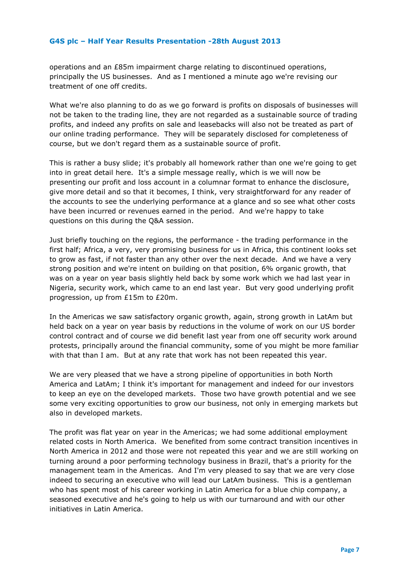operations and an £85m impairment charge relating to discontinued operations, principally the US businesses. And as I mentioned a minute ago we're revising our treatment of one off credits.

What we're also planning to do as we go forward is profits on disposals of businesses will not be taken to the trading line, they are not regarded as a sustainable source of trading profits, and indeed any profits on sale and leasebacks will also not be treated as part of our online trading performance. They will be separately disclosed for completeness of course, but we don't regard them as a sustainable source of profit.

This is rather a busy slide; it's probably all homework rather than one we're going to get into in great detail here. It's a simple message really, which is we will now be presenting our profit and loss account in a columnar format to enhance the disclosure, give more detail and so that it becomes, I think, very straightforward for any reader of the accounts to see the underlying performance at a glance and so see what other costs have been incurred or revenues earned in the period. And we're happy to take questions on this during the Q&A session.

Just briefly touching on the regions, the performance - the trading performance in the first half; Africa, a very, very promising business for us in Africa, this continent looks set to grow as fast, if not faster than any other over the next decade. And we have a very strong position and we're intent on building on that position, 6% organic growth, that was on a year on year basis slightly held back by some work which we had last year in Nigeria, security work, which came to an end last year. But very good underlying profit progression, up from £15m to £20m.

In the Americas we saw satisfactory organic growth, again, strong growth in LatAm but held back on a year on year basis by reductions in the volume of work on our US border control contract and of course we did benefit last year from one off security work around protests, principally around the financial community, some of you might be more familiar with that than I am. But at any rate that work has not been repeated this year.

We are very pleased that we have a strong pipeline of opportunities in both North America and LatAm; I think it's important for management and indeed for our investors to keep an eye on the developed markets. Those two have growth potential and we see some very exciting opportunities to grow our business, not only in emerging markets but also in developed markets.

The profit was flat year on year in the Americas; we had some additional employment related costs in North America. We benefited from some contract transition incentives in North America in 2012 and those were not repeated this year and we are still working on turning around a poor performing technology business in Brazil, that's a priority for the management team in the Americas. And I'm very pleased to say that we are very close indeed to securing an executive who will lead our LatAm business. This is a gentleman who has spent most of his career working in Latin America for a blue chip company, a seasoned executive and he's going to help us with our turnaround and with our other initiatives in Latin America.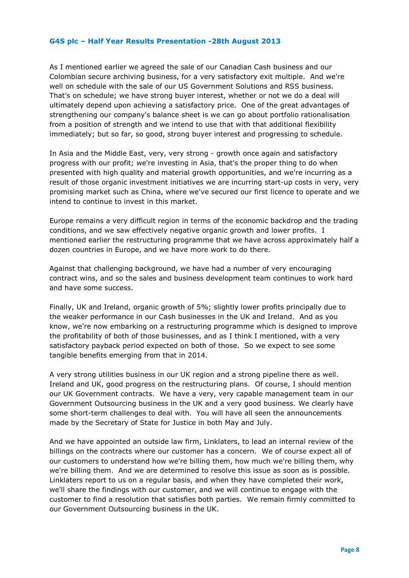As I mentioned earlier we agreed the sale of our Canadian Cash business and our Colombian secure archiving business, for a very satisfactory exit multiple. And we're well on schedule with the sale of our US Government Solutions and RSS business. That's on schedule; we have strong buyer interest, whether or not we do a deal will ultimately depend upon achieving a satisfactory price. One of the great advantages of strengthening our company's balance sheet is we can go about portfolio rationalisation from a position of strength and we intend to use that with that additional flexibility immediately; but so far, so good, strong buyer interest and progressing to schedule.

In Asia and the Middle East, very, very strong - growth once again and satisfactory progress with our profit; we're investing in Asia, that's the proper thing to do when presented with high quality and material growth opportunities, and we're incurring as a result of those organic investment initiatives we are incurring start-up costs in very, very promising market such as China, where we've secured our first licence to operate and we intend to continue to invest in this market.

Europe remains a very difficult region in terms of the economic backdrop and the trading conditions, and we saw effectively negative organic growth and lower profits.I mentioned earlier the restructuring programme that we have across approximately half a dozen countries in Europe, and we have more work to do there.

Against that challenging background, we have had a number of very encouraging contract wins, and so the sales and business development team continues to work hard and have some success.

Finally, UK and Ireland, organic growth of 5%; slightly lower profits principally due to the weaker performance in our Cash businesses in the UK and Ireland. And as you know, we're now embarking on a restructuring programme which is designed to improve the profitability of both of those businesses, and as I think I mentioned, with a very satisfactory payback period expected on both of those. So we expect to see some tangible benefits emerging from that in 2014.

A very strong utilities business in our UK region and a strong pipeline there as well. Ireland and UK, good progress on the restructuring plans.Of course, I should mention our UK Government contracts. We have a very, very capable management team in our Government Outsourcing business in the UK and a very good business. We clearly have some short-term challenges to deal with.You will have all seen the announcements made by the Secretary of State for Justice in both May and July.

And we have appointed an outside law firm, Linklaters, to lead an internal review of the billings on the contracts where our customer has a concern. We of course expect all of our customers to understand how we're billing them, how much we're billing them, why we're billing them. And we are determined to resolve this issue as soon as is possible. Linklaters report to us on a regular basis, and when they have completed their work, we'll share the findings with our customer, and we will continue to engage with the customer to find a resolution that satisfies both parties. We remain firmly committed to our Government Outsourcing business in the UK.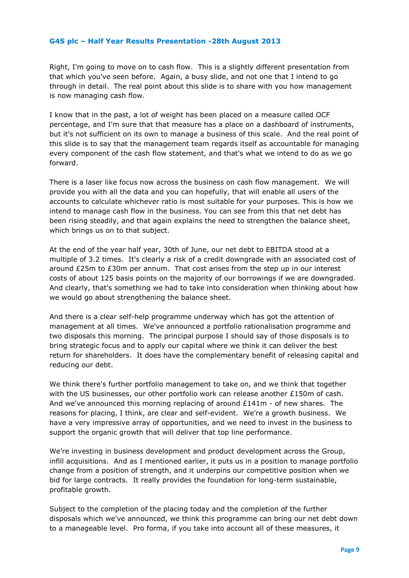Right, I'm going to move on to cash flow. This is a slightly different presentation from that which you've seen before. Again, a busy slide, and not one that I intend to go through in detail.The real point about this slide is to share with you how management is now managing cash flow.

I know that in the past, a lot of weight has been placed on a measure called OCF percentage, and I'm sure that that measure has a place on a dashboard of instruments, but it's not sufficient on its own to manage a business of this scale.And the real point of this slide is to say that the management team regards itself as accountable for managing every component of the cash flow statement, and that's what we intend to do as we go forward.

There is a laser like focus now across the business on cash flow management. We will provide you with all the data and you can hopefully, that will enable all users of the accounts to calculate whichever ratio is most suitable for your purposes. This is how we intend to manage cash flow in the business. You can see from this that net debt has been rising steadily, and that again explains the need to strengthen the balance sheet, which brings us on to that subject.

At the end of the year half year, 30th of June, our net debt to EBITDA stood at a multiple of 3.2 times. It's clearly a risk of a credit downgrade with an associated cost of around £25m to £30m per annum. That cost arises from the step up in our interest costs of about 125 basis points on the majority of our borrowings if we are downgraded. And clearly, that's something we had to take into consideration when thinking about how we would go about strengthening the balance sheet.

And there is a clear self-help programme underway which has got the attention of management at all times. We've announced a portfolio rationalisation programme and two disposals this morning. The principal purpose I should say of those disposals is to bring strategic focus and to apply our capital where we think it can deliver the best return for shareholders. It does have the complementary benefit of releasing capital and reducing our debt.

We think there's further portfolio management to take on, and we think that together with the US businesses, our other portfolio work can release another £150m of cash. And we've announced this morning replacing of around £141m - of new shares.The reasons for placing, I think, are clear and self-evident. We're a growth business. We have a very impressive array of opportunities, and we need to invest in the business to support the organic growth that will deliver that top line performance.

We're investing in business development and product development across the Group, infill acquisitions. And as I mentioned earlier, it puts us in a position to manage portfolio change from a position of strength, and it underpins our competitive position when we bid for large contracts. It really provides the foundation for long-term sustainable, profitable growth.

Subject to the completion of the placing today and the completion of the further disposals which we've announced, we think this programme can bring our net debt down to a manageable level. Pro forma, if you take into account all of these measures, it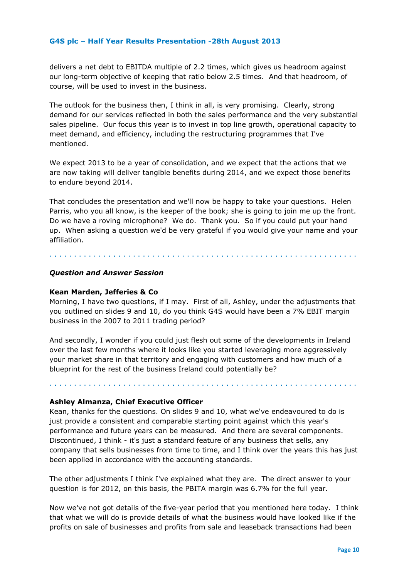delivers a net debt to EBITDA multiple of 2.2 times, which gives us headroom against our long-term objective of keeping that ratio below 2.5 times. And that headroom, of course, will be used to invest in the business.

The outlook for the business then, I think in all, is very promising. Clearly, strong demand for our services reflected in both the sales performance and the very substantial sales pipeline. Our focus this year is to invest in top line growth, operational capacity to meet demand, and efficiency, including the restructuring programmes that I've mentioned.

We expect 2013 to be a year of consolidation, and we expect that the actions that we are now taking will deliver tangible benefits during 2014, and we expect those benefits to endure beyond 2014.

That concludes the presentation and we'll now be happy to take your questions. Helen Parris, who you all know, is the keeper of the book; she is going to join me up the front. Do we have a roving microphone? We do. Thank you. So if you could put your hand up. When asking a question we'd be very grateful if you would give your name and your affiliation.

. . . . . . . . . . . . . . . . . . . . . . . . . . . . . . . . . . . . . . . . . . . . . . . . . . . . . . . . . . . . . . .

# *Question and Answer Session*

## **Kean Marden, Jefferies & Co**

Morning, I have two questions, if I may. First of all, Ashley, under the adjustments that you outlined on slides 9 and 10, do you think G4S would have been a 7% EBIT margin business in the 2007 to 2011 trading period?

And secondly, I wonder if you could just flesh out some of the developments in Ireland over the last few months where it looks like you started leveraging more aggressively your market share in that territory and engaging with customers and how much of a blueprint for the rest of the business Ireland could potentially be?

. . . . . . . . . . . . . . . . . . . . . . . . . . . . . . . . . . . . . . . . . . . . . . . . . . . . . . . . . . . . . . .

## **Ashley Almanza, Chief Executive Officer**

Kean, thanks for the questions. On slides 9 and 10, what we've endeavoured to do is just provide a consistent and comparable starting point against which this year's performance and future years can be measured. And there are several components. Discontinued, I think - it's just a standard feature of any business that sells, any company that sells businesses from time to time, and I think over the years this has just been applied in accordance with the accounting standards.

The other adjustments I think I've explained what they are. The direct answer to your question is for 2012, on this basis, the PBITA margin was 6.7% for the full year.

Now we've not got details of the five-year period that you mentioned here today. I think that what we will do is provide details of what the business would have looked like if the profits on sale of businesses and profits from sale and leaseback transactions had been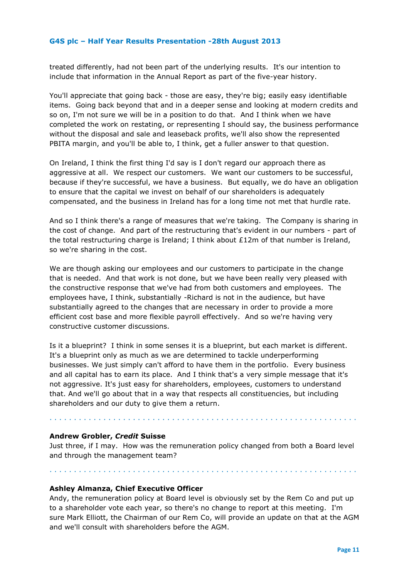treated differently, had not been part of the underlying results. It's our intention to include that information in the Annual Report as part of the five-year history.

You'll appreciate that going back - those are easy, they're big; easily easy identifiable items. Going back beyond that and in a deeper sense and looking at modern credits and so on, I'm not sure we will be in a position to do that. And I think when we have completed the work on restating, or representing I should say, the business performance without the disposal and sale and leaseback profits, we'll also show the represented PBITA margin, and you'll be able to, I think, get a fuller answer to that question.

On Ireland, I think the first thing I'd say is I don't regard our approach there as aggressive at all. We respect our customers. We want our customers to be successful, because if they're successful, we have a business. But equally, we do have an obligation to ensure that the capital we invest on behalf of our shareholders is adequately compensated, and the business in Ireland has for a long time not met that hurdle rate.

And so I think there's a range of measures that we're taking. The Company is sharing in the cost of change. And part of the restructuring that's evident in our numbers - part of the total restructuring charge is Ireland; I think about £12m of that number is Ireland, so we're sharing in the cost.

We are though asking our employees and our customers to participate in the change that is needed. And that work is not done, but we have been really very pleased with the constructive response that we've had from both customers and employees.The employees have, I think, substantially -Richard is not in the audience, but have substantially agreed to the changes that are necessary in order to provide a more efficient cost base and more flexible payroll effectively. And so we're having very constructive customer discussions.

Is it a blueprint? I think in some senses it is a blueprint, but each market is different. It's a blueprint only as much as we are determined to tackle underperforming businesses. We just simply can't afford to have them in the portfolio. Every business and all capital has to earn its place.And I think that's a very simple message that it's not aggressive. It's just easy for shareholders, employees, customers to understand that. And we'll go about that in a way that respects all constituencies, but including shareholders and our duty to give them a return.

#### **Andrew Grobler,** *Credit* **Suisse**

Just three, if I may. How was the remuneration policy changed from both a Board level and through the management team?

. . . . . . . . . . . . . . . . . . . . . . . . . . . . . . . . . . . . . . . . . . . . . . . . . . . . . . . . . . . . . . .

. . . . . . . . . . . . . . . . . . . . . . . . . . . . . . . . . . . . . . . . . . . . . . . . . . . . . . . . . . . . . . .

**Ashley Almanza, Chief Executive Officer** 

Andy, the remuneration policy at Board level is obviously set by the Rem Co and put up to a shareholder vote each year, so there's no change to report at this meeting. I'm sure Mark Elliott, the Chairman of our Rem Co, will provide an update on that at the AGM and we'll consult with shareholders before the AGM.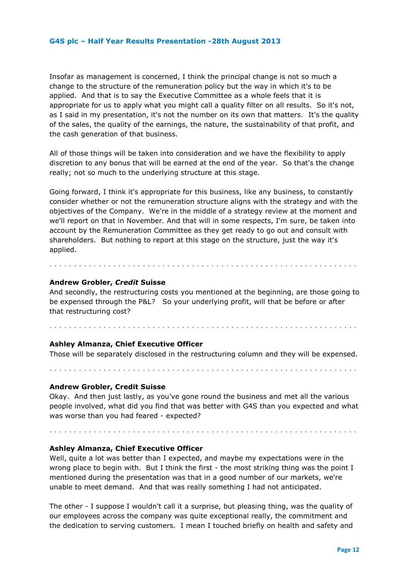Insofar as management is concerned, I think the principal change is not so much a change to the structure of the remuneration policy but the way in which it's to be applied. And that is to say the Executive Committee as a whole feels that it is appropriate for us to apply what you might call a quality filter on all results.So it's not, as I said in my presentation, it's not the number on its own that matters. It's the quality of the sales, the quality of the earnings, the nature, the sustainability of that profit, and the cash generation of that business.

All of those things will be taken into consideration and we have the flexibility to apply discretion to any bonus that will be earned at the end of the year. So that's the change really; not so much to the underlying structure at this stage.

Going forward, I think it's appropriate for this business, like any business, to constantly consider whether or not the remuneration structure aligns with the strategy and with the objectives of the Company.We're in the middle of a strategy review at the moment and we'll report on that in November. And that will in some respects, I'm sure, be taken into account by the Remuneration Committee as they get ready to go out and consult with shareholders. But nothing to report at this stage on the structure, just the way it's applied.

## **Andrew Grobler,** *Credit* **Suisse**

And secondly, the restructuring costs you mentioned at the beginning, are those going to be expensed through the P&L? So your underlying profit, will that be before or after that restructuring cost?

. . . . . . . . . . . . . . . . . . . . . . . . . . . . . . . . . . . . . . . . . . . . . . . . . . . . . . . . . . . . . . .

## **Ashley Almanza, Chief Executive Officer**

Those will be separately disclosed in the restructuring column and they will be expensed.

. . . . . . . . . . . . . . . . . . . . . . . . . . . . . . . . . . . . . . . . . . . . . . . . . . . . . . . . . . . . . . .

. . . . . . . . . . . . . . . . . . . . . . . . . . . . . . . . . . . . . . . . . . . . . . . . . . . . . . . . . . . . . . .

#### **Andrew Grobler, Credit Suisse**

Okay. And then just lastly, as you've gone round the business and met all the various people involved, what did you find that was better with G4S than you expected and what was worse than you had feared - expected?

. . . . . . . . . . . . . . . . . . . . . . . . . . . . . . . . . . . . . . . . . . . . . . . . . . . . . . . . . . . . . . .

# **Ashley Almanza, Chief Executive Officer**

Well, quite a lot was better than I expected, and maybe my expectations were in the wrong place to begin with. But I think the first - the most striking thing was the point I mentioned during the presentation was that in a good number of our markets, we're unable to meet demand. And that was really something I had not anticipated.

The other - I suppose I wouldn't call it a surprise, but pleasing thing, was the quality of our employees across the company was quite exceptional really, the commitment and the dedication to serving customers. I mean I touched briefly on health and safety and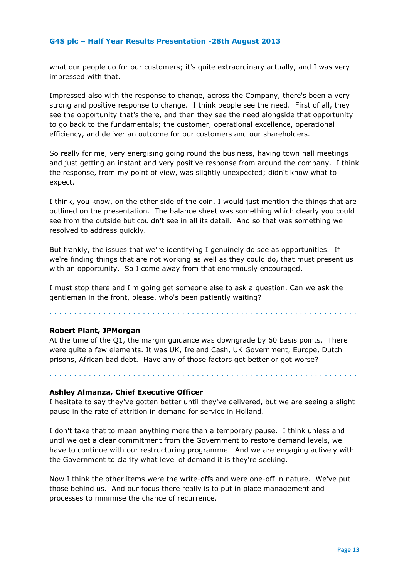what our people do for our customers; it's quite extraordinary actually, and I was very impressed with that.

Impressed also with the response to change, across the Company, there's been a very strong and positive response to change. I think people see the need. First of all, they see the opportunity that's there, and then they see the need alongside that opportunity to go back to the fundamentals; the customer, operational excellence, operational efficiency, and deliver an outcome for our customers and our shareholders.

So really for me, very energising going round the business, having town hall meetings and just getting an instant and very positive response from around the company. I think the response, from my point of view, was slightly unexpected; didn't know what to expect.

I think, you know, on the other side of the coin, I would just mention the things that are outlined on the presentation. The balance sheet was something which clearly you could see from the outside but couldn't see in all its detail. And so that was something we resolved to address quickly.

But frankly, the issues that we're identifying I genuinely do see as opportunities. If we're finding things that are not working as well as they could do, that must present us with an opportunity. So I come away from that enormously encouraged.

I must stop there and I'm going get someone else to ask a question. Can we ask the gentleman in the front, please, who's been patiently waiting?

. . . . . . . . . . . . . . . . . . . . . . . . . . . . . . . . . . . . . . . . . . . . . . . . . . . . . . . . . . . . . . .

## **Robert Plant, JPMorgan**

At the time of the Q1, the margin guidance was downgrade by 60 basis points. There were quite a few elements. It was UK, Ireland Cash, UK Government, Europe, Dutch prisons, African bad debt. Have any of those factors got better or got worse?

#### **Ashley Almanza, Chief Executive Officer**

. . . . . . . . . . . . . . . . . . . . . . . . . . . . . . . . . . . . . . . . . . . . . . . . . . . . . . . . . . . . . . .

I hesitate to say they've gotten better until they've delivered, but we are seeing a slight pause in the rate of attrition in demand for service in Holland.

I don't take that to mean anything more than a temporary pause. I think unless and until we get a clear commitment from the Government to restore demand levels, we have to continue with our restructuring programme. And we are engaging actively with the Government to clarify what level of demand it is they're seeking.

Now I think the other items were the write-offs and were one-off in nature. We've put those behind us. And our focus there really is to put in place management and processes to minimise the chance of recurrence.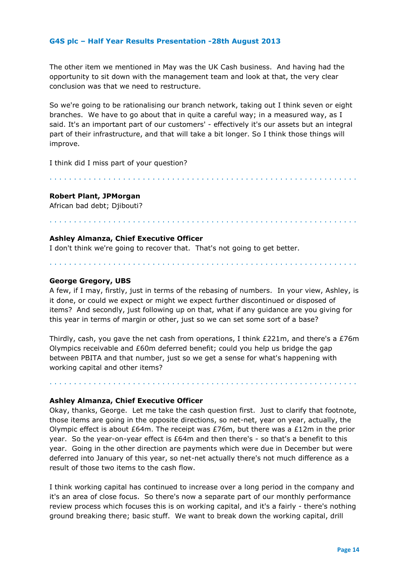The other item we mentioned in May was the UK Cash business. And having had the opportunity to sit down with the management team and look at that, the very clear conclusion was that we need to restructure.

So we're going to be rationalising our branch network, taking out I think seven or eight branches. We have to go about that in quite a careful way; in a measured way, as I said. It's an important part of our customers' - effectively it's our assets but an integral part of their infrastructure, and that will take a bit longer. So I think those things will improve.

. . . . . . . . . . . . . . . . . . . . . . . . . . . . . . . . . . . . . . . . . . . . . . . . . . . . . . . . . . . . . . .

I think did I miss part of your question?

## **Robert Plant, JPMorgan**

African bad debt; Djibouti?

## . . . . . . . . . . . . . . . . . . . . . . . . . . . . . . . . . . . . . . . . . . . . . . . . . . . . . . . . . . . . . . .

## **Ashley Almanza, Chief Executive Officer**

I don't think we're going to recover that. That's not going to get better.

#### **George Gregory, UBS**

A few, if I may, firstly, just in terms of the rebasing of numbers. In your view, Ashley, is it done, or could we expect or might we expect further discontinued or disposed of items?And secondly, just following up on that, what if any guidance are you giving for this year in terms of margin or other, just so we can set some sort of a base?

. . . . . . . . . . . . . . . . . . . . . . . . . . . . . . . . . . . . . . . . . . . . . . . . . . . . . . . . . . . . . . .

Thirdly, cash, you gave the net cash from operations, I think  $E221m$ , and there's a  $E76m$ Olympics receivable and £60m deferred benefit; could you help us bridge the gap between PBITA and that number, just so we get a sense for what's happening with working capital and other items?

. . . . . . . . . . . . . . . . . . . . . . . . . . . . . . . . . . . . . . . . . . . . . . . . . . . . . . . . . . . . . . .

#### **Ashley Almanza, Chief Executive Officer**

Okay, thanks, George. Let me take the cash question first. Just to clarify that footnote, those items are going in the opposite directions, so net-net, year on year, actually, the Olympic effect is about £64m. The receipt was £76m, but there was a £12m in the prior year.So the year-on-year effect is £64m and then there's - so that's a benefit to this year. Going in the other direction are payments which were due in December but were deferred into January of this year, so net-net actually there's not much difference as a result of those two items to the cash flow.

I think working capital has continued to increase over a long period in the company and it's an area of close focus.So there's now a separate part of our monthly performance review process which focuses this is on working capital, and it's a fairly - there's nothing ground breaking there; basic stuff. We want to break down the working capital, drill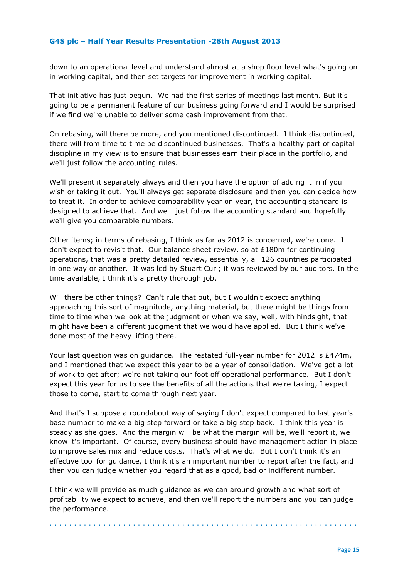down to an operational level and understand almost at a shop floor level what's going on in working capital, and then set targets for improvement in working capital.

That initiative has just begun. We had the first series of meetings last month. But it's going to be a permanent feature of our business going forward and I would be surprised if we find we're unable to deliver some cash improvement from that.

On rebasing, will there be more, and you mentioned discontinued. I think discontinued, there will from time to time be discontinued businesses. That's a healthy part of capital discipline in my view is to ensure that businesses earn their place in the portfolio, and we'll just follow the accounting rules.

We'll present it separately always and then you have the option of adding it in if you wish or taking it out. You'll always get separate disclosure and then you can decide how to treat it.In order to achieve comparability year on year, the accounting standard is designed to achieve that. And we'll just follow the accounting standard and hopefully we'll give you comparable numbers.

Other items; in terms of rebasing, I think as far as 2012 is concerned, we're done. I don't expect to revisit that.Our balance sheet review, so at £180m for continuing operations, that was a pretty detailed review, essentially, all 126 countries participated in one way or another. It was led by Stuart Curl; it was reviewed by our auditors. In the time available, I think it's a pretty thorough job.

Will there be other things? Can't rule that out, but I wouldn't expect anything approaching this sort of magnitude, anything material, but there might be things from time to time when we look at the judgment or when we say, well, with hindsight, that might have been a different judgment that we would have applied. But I think we've done most of the heavy lifting there.

Your last question was on guidance. The restated full-year number for 2012 is £474m, and I mentioned that we expect this year to be a year of consolidation. We've got a lot of work to get after; we're not taking our foot off operational performance. But I don't expect this year for us to see the benefits of all the actions that we're taking, I expect those to come, start to come through next year.

And that's I suppose a roundabout way of saying I don't expect compared to last year's base number to make a big step forward or take a big step back. I think this year is steady as she goes.And the margin will be what the margin will be, we'll report it, we know it's important. Of course, every business should have management action in place to improve sales mix and reduce costs. That's what we do. But I don't think it's an effective tool for guidance, I think it's an important number to report after the fact, and then you can judge whether you regard that as a good, bad or indifferent number.

I think we will provide as much guidance as we can around growth and what sort of profitability we expect to achieve, and then we'll report the numbers and you can judge the performance.

. . . . . . . . . . . . . . . . . . . . . . . . . . . . . . . . . . . . . . . . . . . . . . . . . . . . . . . . . . . . . . .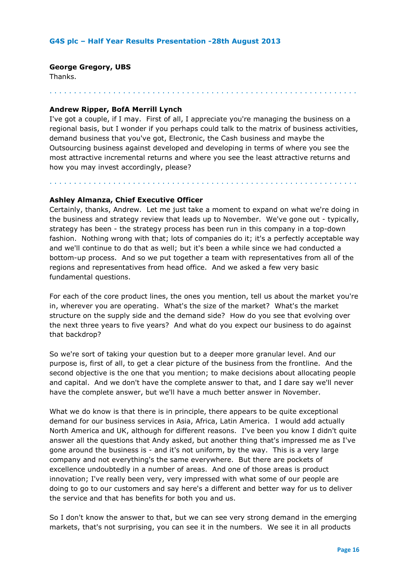## **George Gregory, UBS**

Thanks.

. . . . . . . . . . . . . . . . . . . . . . . . . . . . . . . . . . . . . . . . . . . . . . . . . . . . . . . . . . . . . . .

## **Andrew Ripper, BofA Merrill Lynch**

I've got a couple, if I may. First of all, I appreciate you're managing the business on a regional basis, but I wonder if you perhaps could talk to the matrix of business activities, demand business that you've got, Electronic, the Cash business and maybe the Outsourcing business against developed and developing in terms of where you see the most attractive incremental returns and where you see the least attractive returns and how you may invest accordingly, please?

. . . . . . . . . . . . . . . . . . . . . . . . . . . . . . . . . . . . . . . . . . . . . . . . . . . . . . . . . . . . . . .

## **Ashley Almanza, Chief Executive Officer**

Certainly, thanks, Andrew. Let me just take a moment to expand on what we're doing in the business and strategy review that leads up to November.We've gone out - typically, strategy has been - the strategy process has been run in this company in a top-down fashion. Nothing wrong with that; lots of companies do it; it's a perfectly acceptable way and we'll continue to do that as well; but it's been a while since we had conducted a bottom-up process. And so we put together a team with representatives from all of the regions and representatives from head office. And we asked a few very basic fundamental questions.

For each of the core product lines, the ones you mention, tell us about the market you're in, wherever you are operating. What's the size of the market? What's the market structure on the supply side and the demand side? How do you see that evolving over the next three years to five years? And what do you expect our business to do against that backdrop?

So we're sort of taking your question but to a deeper more granular level. And our purpose is, first of all, to get a clear picture of the business from the frontline. And the second objective is the one that you mention; to make decisions about allocating people and capital.And we don't have the complete answer to that, and I dare say we'll never have the complete answer, but we'll have a much better answer in November.

What we do know is that there is in principle, there appears to be quite exceptional demand for our business services in Asia, Africa, Latin America. I would add actually North America and UK, although for different reasons. I've been you know I didn't quite answer all the questions that Andy asked, but another thing that's impressed me as I've gone around the business is - and it's not uniform, by the way. This is a very large company and not everything's the same everywhere. But there are pockets of excellence undoubtedly in a number of areas. And one of those areas is product innovation; I've really been very, very impressed with what some of our people are doing to go to our customers and say here's a different and better way for us to deliver the service and that has benefits for both you and us.

So I don't know the answer to that, but we can see very strong demand in the emerging markets, that's not surprising, you can see it in the numbers. We see it in all products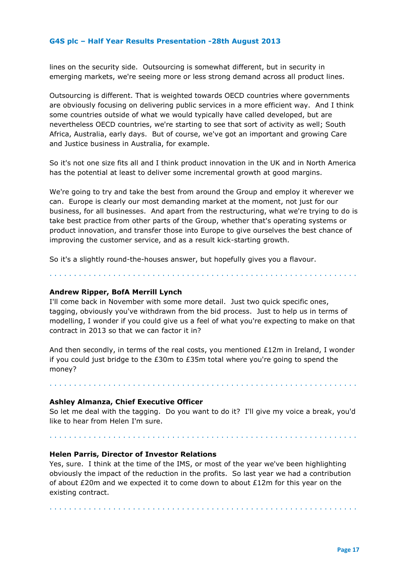lines on the security side. Outsourcing is somewhat different, but in security in emerging markets, we're seeing more or less strong demand across all product lines.

Outsourcing is different. That is weighted towards OECD countries where governments are obviously focusing on delivering public services in a more efficient way. And I think some countries outside of what we would typically have called developed, but are nevertheless OECD countries, we're starting to see that sort of activity as well; South Africa, Australia, early days. But of course, we've got an important and growing Care and Justice business in Australia, for example.

So it's not one size fits all and I think product innovation in the UK and in North America has the potential at least to deliver some incremental growth at good margins.

We're going to try and take the best from around the Group and employ it wherever we can. Europe is clearly our most demanding market at the moment, not just for our business, for all businesses. And apart from the restructuring, what we're trying to do is take best practice from other parts of the Group, whether that's operating systems or product innovation, and transfer those into Europe to give ourselves the best chance of improving the customer service, and as a result kick-starting growth.

So it's a slightly round-the-houses answer, but hopefully gives you a flavour.

. . . . . . . . . . . . . . . . . . . . . . . . . . . . . . . . . . . . . . . . . . . . . . . . . . . . . . . . . . . . . . .

## **Andrew Ripper, BofA Merrill Lynch**

I'll come back in November with some more detail. Just two quick specific ones, tagging, obviously you've withdrawn from the bid process. Just to help us in terms of modelling, I wonder if you could give us a feel of what you're expecting to make on that contract in 2013 so that we can factor it in?

And then secondly, in terms of the real costs, you mentioned  $£12m$  in Ireland, I wonder if you could just bridge to the £30m to £35m total where you're going to spend the money?

. . . . . . . . . . . . . . . . . . . . . . . . . . . . . . . . . . . . . . . . . . . . . . . . . . . . . . . . . . . . . . .

#### **Ashley Almanza, Chief Executive Officer**

So let me deal with the tagging. Do you want to do it? I'll give my voice a break, you'd like to hear from Helen I'm sure.

. . . . . . . . . . . . . . . . . . . . . . . . . . . . . . . . . . . . . . . . . . . . . . . . . . . . . . . . . . . . . . .

#### **Helen Parris, Director of Investor Relations**

Yes, sure. I think at the time of the IMS, or most of the year we've been highlighting obviously the impact of the reduction in the profits. So last year we had a contribution of about  $E20m$  and we expected it to come down to about  $E12m$  for this year on the existing contract.

. . . . . . . . . . . . . . . . . . . . . . . . . . . . . . . . . . . . . . . . . . . . . . . . . . . . . . . . . . . . . . .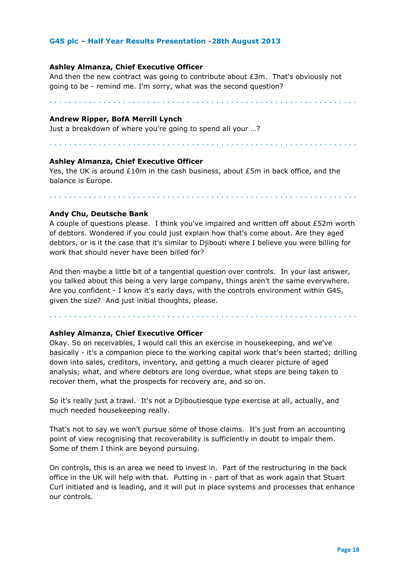#### **Ashley Almanza, Chief Executive Officer**

And then the new contract was going to contribute about £3m. That's obviously not going to be - remind me. I'm sorry, what was the second question?

. . . . . . . . . . . . . . . . . . . . . . . . . . . . . . . . . . . . . . . . . . . . . . . . . . . . . . . . . . . . . . .

#### **Andrew Ripper, BofA Merrill Lynch**

Just a breakdown of where you're going to spend all your …?

. . . . . . . . . . . . . . . . . . . . . . . . . . . . . . . . . . . . . . . . . . . . . . . . . . . . . . . . . . . . . . .

#### **Ashley Almanza, Chief Executive Officer**

Yes, the UK is around  $£10m$  in the cash business, about  $£5m$  in back office, and the balance is Europe.

. . . . . . . . . . . . . . . . . . . . . . . . . . . . . . . . . . . . . . . . . . . . . . . . . . . . . . . . . . . . . . .

#### **Andy Chu, Deutsche Bank**

A couple of questions please. I think you've impaired and written off about £52m worth of debtors. Wondered if you could just explain how that's come about. Are they aged debtors, or is it the case that it's similar to Djibouti where I believe you were billing for work that should never have been billed for?

And then maybe a little bit of a tangential question over controls. In your last answer, you talked about this being a very large company, things aren't the same everywhere. Are you confident - I know it's early days, with the controls environment within G4S, given the size? And just initial thoughts, please.

. . . . . . . . . . . . . . . . . . . . . . . . . . . . . . . . . . . . . . . . . . . . . . . . . . . . . . . . . . . . . . .

# **Ashley Almanza, Chief Executive Officer**

Okay. So on receivables, I would call this an exercise in housekeeping, and we've basically - it's a companion piece to the working capital work that's been started; drilling down into sales, creditors, inventory, and getting a much clearer picture of aged analysis; what, and where debtors are long overdue, what steps are being taken to recover them, what the prospects for recovery are, and so on.

So it's really just a trawl. It's not a Djiboutiesque type exercise at all, actually, and much needed housekeeping really.

That's not to say we won't pursue some of those claims. It's just from an accounting point of view recognising that recoverability is sufficiently in doubt to impair them. Some of them I think are beyond pursuing.

On controls, this is an area we need to invest in. Part of the restructuring in the back office in the UK will help with that. Putting in - part of that as work again that Stuart Curl initiated and is leading, and it will put in place systems and processes that enhance our controls.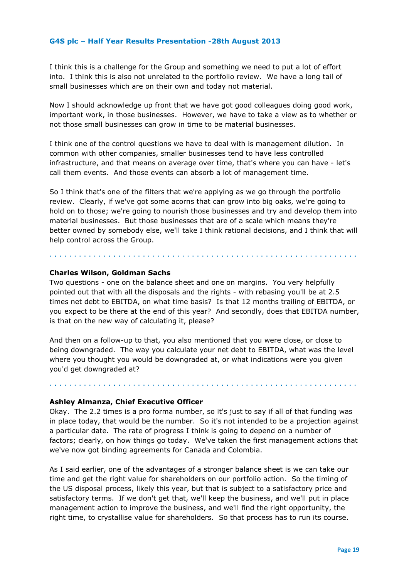I think this is a challenge for the Group and something we need to put a lot of effort into. I think this is also not unrelated to the portfolio review. We have a long tail of small businesses which are on their own and today not material.

Now I should acknowledge up front that we have got good colleagues doing good work, important work, in those businesses. However, we have to take a view as to whether or not those small businesses can grow in time to be material businesses.

I think one of the control questions we have to deal with is management dilution. In common with other companies, smaller businesses tend to have less controlled infrastructure, and that means on average over time, that's where you can have - let's call them events. And those events can absorb a lot of management time.

So I think that's one of the filters that we're applying as we go through the portfolio review. Clearly, if we've got some acorns that can grow into big oaks, we're going to hold on to those; we're going to nourish those businesses and try and develop them into material businesses.But those businesses that are of a scale which means they're better owned by somebody else, we'll take I think rational decisions, and I think that will help control across the Group.

. . . . . . . . . . . . . . . . . . . . . . . . . . . . . . . . . . . . . . . . . . . . . . . . . . . . . . . . . . . . . . .

#### **Charles Wilson, Goldman Sachs**

Two questions - one on the balance sheet and one on margins. You very helpfully pointed out that with all the disposals and the rights - with rebasing you'll be at 2.5 times net debt to EBITDA, on what time basis? Is that 12 months trailing of EBITDA, or you expect to be there at the end of this year? And secondly, does that EBITDA number, is that on the new way of calculating it, please?

And then on a follow-up to that, you also mentioned that you were close, or close to being downgraded. The way you calculate your net debt to EBITDA, what was the level where you thought you would be downgraded at, or what indications were you given you'd get downgraded at?

. . . . . . . . . . . . . . . . . . . . . . . . . . . . . . . . . . . . . . . . . . . . . . . . . . . . . . . . . . . . . . .

#### **Ashley Almanza, Chief Executive Officer**

Okay. The 2.2 times is a pro forma number, so it's just to say if all of that funding was in place today, that would be the number. So it's not intended to be a projection against a particular date.The rate of progress I think is going to depend on a number of factors; clearly, on how things go today. We've taken the first management actions that we've now got binding agreements for Canada and Colombia.

As I said earlier, one of the advantages of a stronger balance sheet is we can take our time and get the right value for shareholders on our portfolio action. So the timing of the US disposal process, likely this year, but that is subject to a satisfactory price and satisfactory terms.If we don't get that, we'll keep the business, and we'll put in place management action to improve the business, and we'll find the right opportunity, the right time, to crystallise value for shareholders. So that process has to run its course.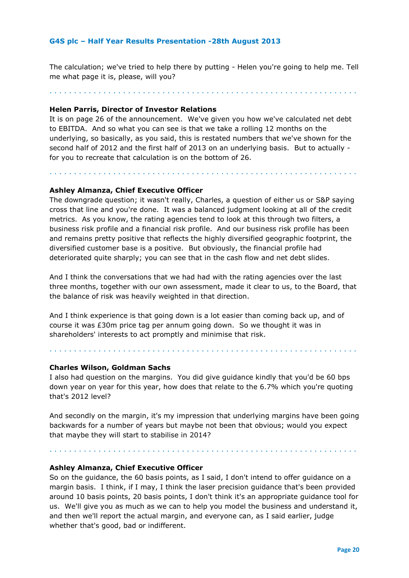The calculation; we've tried to help there by putting - Helen you're going to help me. Tell me what page it is, please, will you?

. . . . . . . . . . . . . . . . . . . . . . . . . . . . . . . . . . . . . . . . . . . . . . . . . . . . . . . . . . . . . . .

# **Helen Parris, Director of Investor Relations**

It is on page 26 of the announcement. We've given you how we've calculated net debt to EBITDA. And so what you can see is that we take a rolling 12 months on the underlying, so basically, as you said, this is restated numbers that we've shown for the second half of 2012 and the first half of 2013 on an underlying basis. But to actually for you to recreate that calculation is on the bottom of 26.

. . . . . . . . . . . . . . . . . . . . . . . . . . . . . . . . . . . . . . . . . . . . . . . . . . . . . . . . . . . . . . .

#### **Ashley Almanza, Chief Executive Officer**

The downgrade question; it wasn't really, Charles, a question of either us or S&P saying cross that line and you're done. It was a balanced judgment looking at all of the credit metrics.As you know, the rating agencies tend to look at this through two filters, a business risk profile and a financial risk profile. And our business risk profile has been and remains pretty positive that reflects the highly diversified geographic footprint, the diversified customer base is a positive. But obviously, the financial profile had deteriorated quite sharply; you can see that in the cash flow and net debt slides.

And I think the conversations that we had had with the rating agencies over the last three months, together with our own assessment, made it clear to us, to the Board, that the balance of risk was heavily weighted in that direction.

And I think experience is that going down is a lot easier than coming back up, and of course it was £30m price tag per annum going down. So we thought it was in shareholders' interests to act promptly and minimise that risk.

#### **Charles Wilson, Goldman Sachs**

I also had question on the margins. You did give guidance kindly that you'd be 60 bps down year on year for this year, how does that relate to the 6.7% which you're quoting that's 2012 level?

. . . . . . . . . . . . . . . . . . . . . . . . . . . . . . . . . . . . . . . . . . . . . . . . . . . . . . . . . . . . . . .

And secondly on the margin, it's my impression that underlying margins have been going backwards for a number of years but maybe not been that obvious; would you expect that maybe they will start to stabilise in 2014?

. . . . . . . . . . . . . . . . . . . . . . . . . . . . . . . . . . . . . . . . . . . . . . . . . . . . . . . . . . . . . . .

#### **Ashley Almanza, Chief Executive Officer**

So on the guidance, the 60 basis points, as I said, I don't intend to offer guidance on a margin basis. I think, if I may, I think the laser precision guidance that's been provided around 10 basis points, 20 basis points, I don't think it's an appropriate guidance tool for us. We'll give you as much as we can to help you model the business and understand it, and then we'll report the actual margin, and everyone can, as I said earlier, judge whether that's good, bad or indifferent.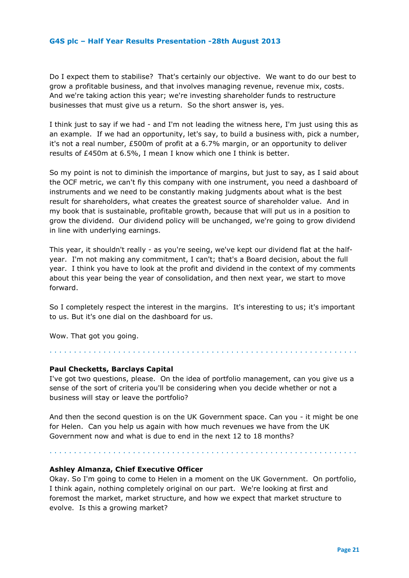Do I expect them to stabilise? That's certainly our objective. We want to do our best to grow a profitable business, and that involves managing revenue, revenue mix, costs. And we're taking action this year; we're investing shareholder funds to restructure businesses that must give us a return. So the short answer is, yes.

I think just to say if we had - and I'm not leading the witness here, I'm just using this as an example. If we had an opportunity, let's say, to build a business with, pick a number, it's not a real number, £500m of profit at a 6.7% margin, or an opportunity to deliver results of £450m at 6.5%, I mean I know which one I think is better.

So my point is not to diminish the importance of margins, but just to say, as I said about the OCF metric, we can't fly this company with one instrument, you need a dashboard of instruments and we need to be constantly making judgments about what is the best result for shareholders, what creates the greatest source of shareholder value.And in my book that is sustainable, profitable growth, because that will put us in a position to grow the dividend. Our dividend policy will be unchanged, we're going to grow dividend in line with underlying earnings.

This year, it shouldn't really - as you're seeing, we've kept our dividend flat at the halfyear. I'm not making any commitment, I can't; that's a Board decision, about the full year.I think you have to look at the profit and dividend in the context of my comments about this year being the year of consolidation, and then next year, we start to move forward.

So I completely respect the interest in the margins. It's interesting to us; it's important to us. But it's one dial on the dashboard for us.

Wow. That got you going.

## **Paul Checketts, Barclays Capital**

I've got two questions, please. On the idea of portfolio management, can you give us a sense of the sort of criteria you'll be considering when you decide whether or not a business will stay or leave the portfolio?

. . . . . . . . . . . . . . . . . . . . . . . . . . . . . . . . . . . . . . . . . . . . . . . . . . . . . . . . . . . . . . .

And then the second question is on the UK Government space. Can you - it might be one for Helen. Can you help us again with how much revenues we have from the UK Government now and what is due to end in the next 12 to 18 months?

#### **Ashley Almanza, Chief Executive Officer**

. . . . . . . . . . . . . . . . . . . . . . . . . . . . . . . . . . . . . . . . . . . . . . . . . . . . . . . . . . . . . . .

Okay. So I'm going to come to Helen in a moment on the UK Government.On portfolio, I think again, nothing completely original on our part. We're looking at first and foremost the market, market structure, and how we expect that market structure to evolve. Is this a growing market?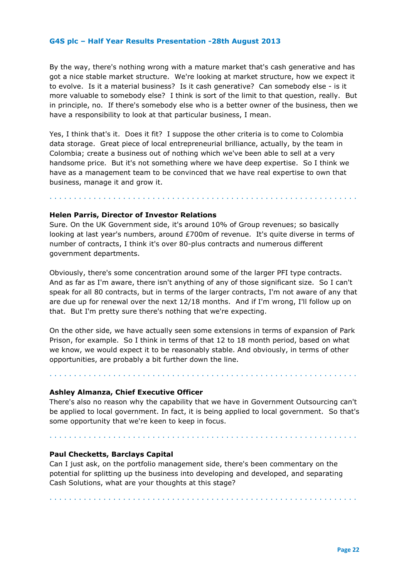By the way, there's nothing wrong with a mature market that's cash generative and has got a nice stable market structure. We're looking at market structure, how we expect it to evolve. Is it a material business? Is it cash generative?Can somebody else - is it more valuable to somebody else? I think is sort of the limit to that question, really. But in principle, no. If there's somebody else who is a better owner of the business, then we have a responsibility to look at that particular business, I mean.

Yes, I think that's it. Does it fit? I suppose the other criteria is to come to Colombia data storage. Great piece of local entrepreneurial brilliance, actually, by the team in Colombia; create a business out of nothing which we've been able to sell at a very handsome price. But it's not something where we have deep expertise.So I think we have as a management team to be convinced that we have real expertise to own that business, manage it and grow it.

#### **Helen Parris, Director of Investor Relations**

Sure. On the UK Government side, it's around 10% of Group revenues; so basically looking at last year's numbers, around £700m of revenue.It's quite diverse in terms of number of contracts, I think it's over 80-plus contracts and numerous different government departments.

. . . . . . . . . . . . . . . . . . . . . . . . . . . . . . . . . . . . . . . . . . . . . . . . . . . . . . . . . . . . . . .

Obviously, there's some concentration around some of the larger PFI type contracts. And as far as I'm aware, there isn't anything of any of those significant size. So I can't speak for all 80 contracts, but in terms of the larger contracts, I'm not aware of any that are due up for renewal over the next 12/18 months. And if I'm wrong, I'll follow up on that. But I'm pretty sure there's nothing that we're expecting.

On the other side, we have actually seen some extensions in terms of expansion of Park Prison, for example.So I think in terms of that 12 to 18 month period, based on what we know, we would expect it to be reasonably stable. And obviously, in terms of other opportunities, are probably a bit further down the line.

. . . . . . . . . . . . . . . . . . . . . . . . . . . . . . . . . . . . . . . . . . . . . . . . . . . . . . . . . . . . . . .

#### **Ashley Almanza, Chief Executive Officer**

There's also no reason why the capability that we have in Government Outsourcing can't be applied to local government. In fact, it is being applied to local government. So that's some opportunity that we're keen to keep in focus.

. . . . . . . . . . . . . . . . . . . . . . . . . . . . . . . . . . . . . . . . . . . . . . . . . . . . . . . . . . . . . . .

. . . . . . . . . . . . . . . . . . . . . . . . . . . . . . . . . . . . . . . . . . . . . . . . . . . . . . . . . . . . . . .

#### **Paul Checketts, Barclays Capital**

Can I just ask, on the portfolio management side, there's been commentary on the potential for splitting up the business into developing and developed, and separating Cash Solutions, what are your thoughts at this stage?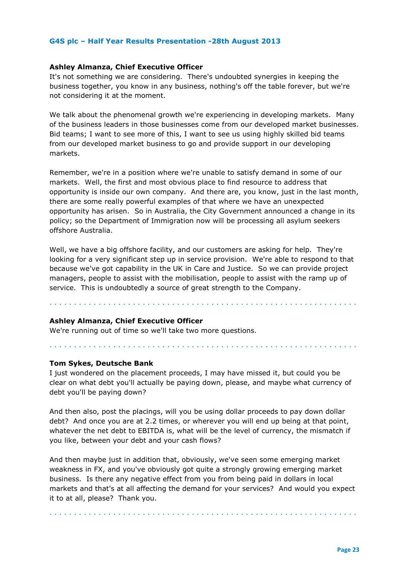#### **Ashley Almanza, Chief Executive Officer**

It's not something we are considering. There's undoubted synergies in keeping the business together, you know in any business, nothing's off the table forever, but we're not considering it at the moment.

We talk about the phenomenal growth we're experiencing in developing markets. Many of the business leaders in those businesses come from our developed market businesses. Bid teams; I want to see more of this, I want to see us using highly skilled bid teams from our developed market business to go and provide support in our developing markets.

Remember, we're in a position where we're unable to satisfy demand in some of our markets. Well, the first and most obvious place to find resource to address that opportunity is inside our own company.And there are, you know, just in the last month, there are some really powerful examples of that where we have an unexpected opportunity has arisen. So in Australia, the City Government announced a change in its policy; so the Department of Immigration now will be processing all asylum seekers offshore Australia.

Well, we have a big offshore facility, and our customers are asking for help. They're looking for a very significant step up in service provision. We're able to respond to that because we've got capability in the UK in Care and Justice. So we can provide project managers, people to assist with the mobilisation, people to assist with the ramp up of service. This is undoubtedly a source of great strength to the Company.

. . . . . . . . . . . . . . . . . . . . . . . . . . . . . . . . . . . . . . . . . . . . . . . . . . . . . . . . . . . . . . .

. . . . . . . . . . . . . . . . . . . . . . . . . . . . . . . . . . . . . . . . . . . . . . . . . . . . . . . . . . . . . . .

## **Ashley Almanza, Chief Executive Officer**

We're running out of time so we'll take two more questions.

#### **Tom Sykes, Deutsche Bank**

I just wondered on the placement proceeds, I may have missed it, but could you be clear on what debt you'll actually be paying down, please, and maybe what currency of debt you'll be paying down?

And then also, post the placings, will you be using dollar proceeds to pay down dollar debt? And once you are at 2.2 times, or wherever you will end up being at that point, whatever the net debt to EBITDA is, what will be the level of currency, the mismatch if you like, between your debt and your cash flows?

And then maybe just in addition that, obviously, we've seen some emerging market weakness in FX, and you've obviously got quite a strongly growing emerging market business. Is there any negative effect from you from being paid in dollars in local markets and that's at all affecting the demand for your services? And would you expect it to at all, please?Thank you.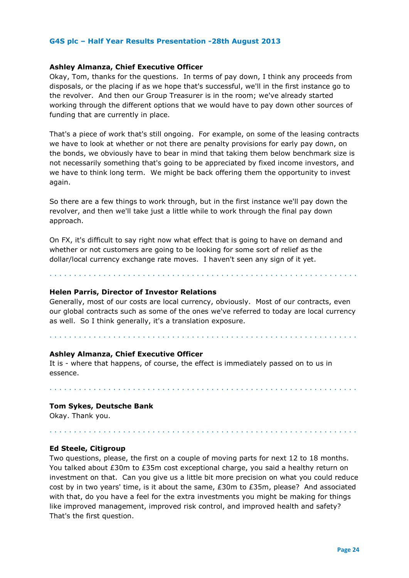#### **Ashley Almanza, Chief Executive Officer**

Okay, Tom, thanks for the questions. In terms of pay down, I think any proceeds from disposals, or the placing if as we hope that's successful, we'll in the first instance go to the revolver. And then our Group Treasurer is in the room; we've already started working through the different options that we would have to pay down other sources of funding that are currently in place.

That's a piece of work that's still ongoing. For example, on some of the leasing contracts we have to look at whether or not there are penalty provisions for early pay down, on the bonds, we obviously have to bear in mind that taking them below benchmark size is not necessarily something that's going to be appreciated by fixed income investors, and we have to think long term. We might be back offering them the opportunity to invest again.

So there are a few things to work through, but in the first instance we'll pay down the revolver, and then we'll take just a little while to work through the final pay down approach.

On FX, it's difficult to say right now what effect that is going to have on demand and whether or not customers are going to be looking for some sort of relief as the dollar/local currency exchange rate moves.I haven't seen any sign of it yet.

. . . . . . . . . . . . . . . . . . . . . . . . . . . . . . . . . . . . . . . . . . . . . . . . . . . . . . . . . . . . . . .

#### **Helen Parris, Director of Investor Relations**

Generally, most of our costs are local currency, obviously. Most of our contracts, even our global contracts such as some of the ones we've referred to today are local currency as well. So I think generally, it's a translation exposure.

. . . . . . . . . . . . . . . . . . . . . . . . . . . . . . . . . . . . . . . . . . . . . . . . . . . . . . . . . . . . . . .

#### **Ashley Almanza, Chief Executive Officer**

It is - where that happens, of course, the effect is immediately passed on to us in essence.

. . . . . . . . . . . . . . . . . . . . . . . . . . . . . . . . . . . . . . . . . . . . . . . . . . . . . . . . . . . . . . .

. . . . . . . . . . . . . . . . . . . . . . . . . . . . . . . . . . . . . . . . . . . . . . . . . . . . . . . . . . . . . . .

#### **Tom Sykes, Deutsche Bank**

Okay. Thank you.

#### **Ed Steele, Citigroup**

Two questions, please, the first on a couple of moving parts for next 12 to 18 months. You talked about £30m to £35m cost exceptional charge, you said a healthy return on investment on that. Can you give us a little bit more precision on what you could reduce cost by in two years' time, is it about the same, £30m to £35m, please?And associated with that, do you have a feel for the extra investments you might be making for things like improved management, improved risk control, and improved health and safety? That's the first question.